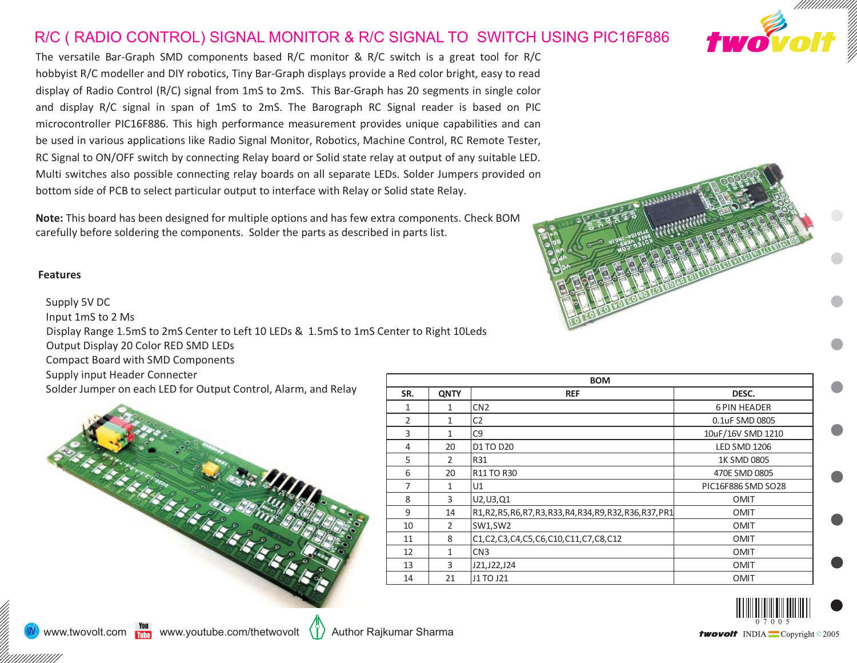## R/C ( RADIO CONTROL) SIGNAL MONITOR & R/C SIGNAL TO SWITCH USING PIC16F886

The versatile Bar-Graph SMD components based R/C monitor & R/C switch is <sup>a</sup> great tool for R/C hobbyist R/C modeller and DIY robotics, Tiny Bar-Graph displays provide <sup>a</sup> Red color bright, easy to read display of Radio Control (R/C) signal from 1mS to 2mS. This Bar-Graph has 20 segments in single color and display R/C signal in span of 1mS to 2mS. The Barograph RC Signal reader is based on PIC microcontroller PIC16F886. This high performance measurement provides unique capabilities and can be used in various applications like Radio Signal Monitor, Robotics, Machine Control, RC Remote Tester, RC Signal to ON/OFF switch by connecting Relay board or Solid state relay at output of any suitable LED. Multi switches also possible connecting relay boards on all separate LEDs. Solder Jumpers provided on bottom side of PCB to select particular output to interface with Relay or Solid state Relay.

**Note:** This board has been designed for multiple options and has few extra components. Check BOM carefully before soldering the components. Solder the parts as described in parts list.

## **Features**

Supply 5V DC Input 1mS to 2 Ms Display Range 1.5mS to 2mS Center to Left 10 LEDs & 1.5mS to 1mS Center to Right 10Leds Output Display 20 Color RED SMD LEDs Compact Board with SMD Components Supply input Header Connecter Solder Jumper on each LED for Output Control, Alarm, and Relay









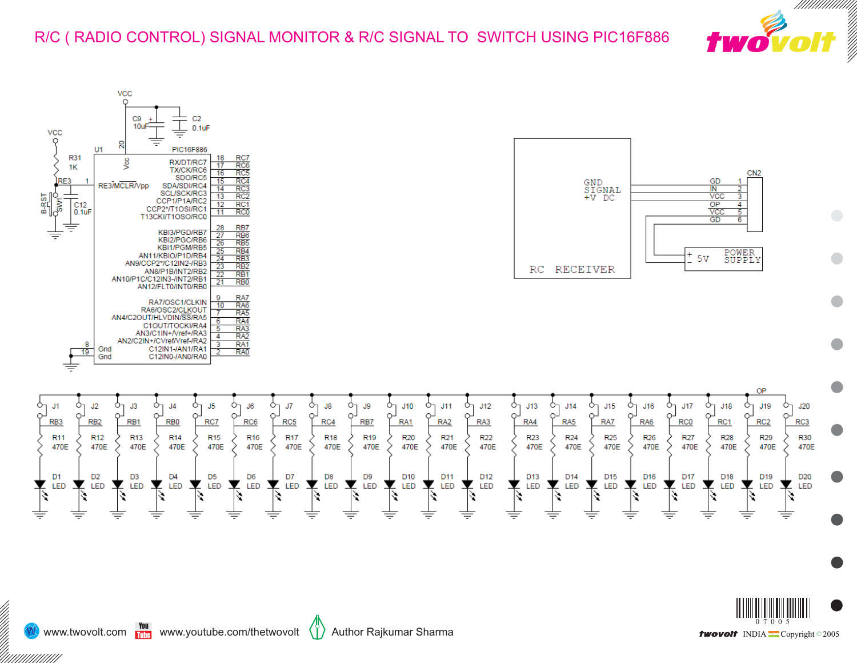







//<br>|}<br>|}

////////////////